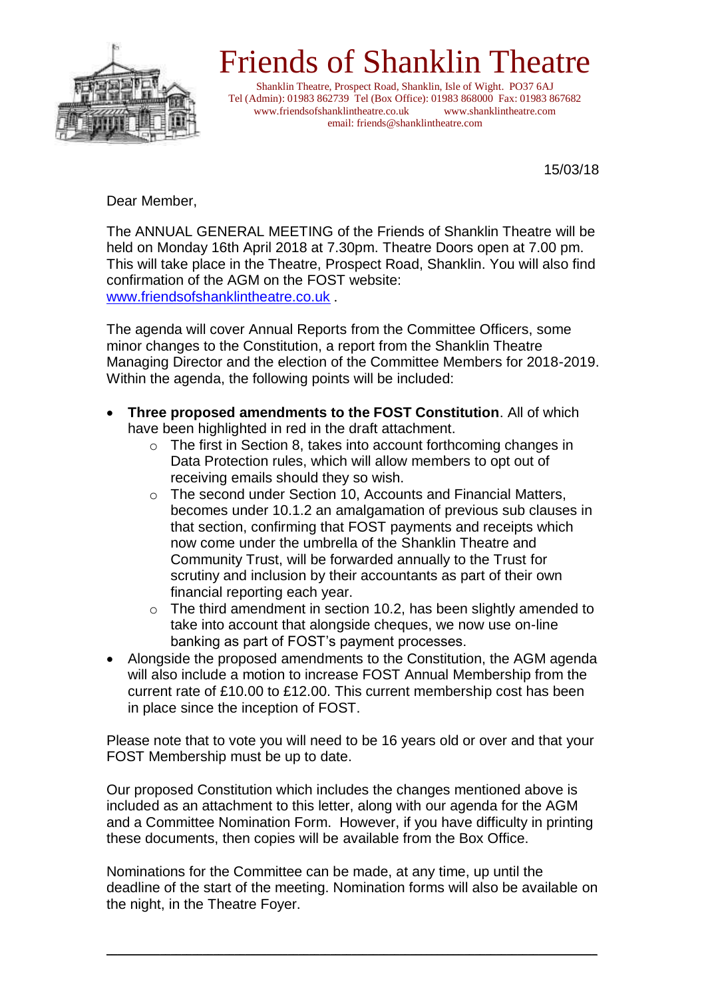

## Friends of Shanklin Theatre

Shanklin Theatre, Prospect Road, Shanklin, Isle of Wight. PO37 6AJ Tel (Admin): 01983 862739 Tel (Box Office): 01983 868000 Fax: 01983 867682 www.friendsofshanklintheatre.co.uk www.shanklintheatre.com email: friends@shanklintheatre.com

15/03/18

Dear Member,

The ANNUAL GENERAL MEETING of the Friends of Shanklin Theatre will be held on Monday 16th April 2018 at 7.30pm. Theatre Doors open at 7.00 pm. This will take place in the Theatre, Prospect Road, Shanklin. You will also find confirmation of the AGM on the FOST website: [www.friendsofshanklintheatre.co.uk](http://www.friendsofshanklintheatre.co.uk/) .

The agenda will cover Annual Reports from the Committee Officers, some minor changes to the Constitution, a report from the Shanklin Theatre Managing Director and the election of the Committee Members for 2018-2019. Within the agenda, the following points will be included:

- **Three proposed amendments to the FOST Constitution**. All of which have been highlighted in red in the draft attachment.
	- o The first in Section 8, takes into account forthcoming changes in Data Protection rules, which will allow members to opt out of receiving emails should they so wish.
	- o The second under Section 10, Accounts and Financial Matters, becomes under 10.1.2 an amalgamation of previous sub clauses in that section, confirming that FOST payments and receipts which now come under the umbrella of the Shanklin Theatre and Community Trust, will be forwarded annually to the Trust for scrutiny and inclusion by their accountants as part of their own financial reporting each year.
	- o The third amendment in section 10.2, has been slightly amended to take into account that alongside cheques, we now use on-line banking as part of FOST's payment processes.
- Alongside the proposed amendments to the Constitution, the AGM agenda will also include a motion to increase FOST Annual Membership from the current rate of £10.00 to £12.00. This current membership cost has been in place since the inception of FOST.

Please note that to vote you will need to be 16 years old or over and that your FOST Membership must be up to date.

Our proposed Constitution which includes the changes mentioned above is included as an attachment to this letter, along with our agenda for the AGM and a Committee Nomination Form. However, if you have difficulty in printing these documents, then copies will be available from the Box Office.

Nominations for the Committee can be made, at any time, up until the deadline of the start of the meeting. Nomination forms will also be available on the night, in the Theatre Foyer.

 $\_$  ,  $\_$  ,  $\_$  ,  $\_$  ,  $\_$  ,  $\_$  ,  $\_$  ,  $\_$  ,  $\_$  ,  $\_$  ,  $\_$  ,  $\_$  ,  $\_$  ,  $\_$  ,  $\_$  ,  $\_$  ,  $\_$  ,  $\_$  ,  $\_$  ,  $\_$  ,  $\_$  ,  $\_$  ,  $\_$  ,  $\_$  ,  $\_$  ,  $\_$  ,  $\_$  ,  $\_$  ,  $\_$  ,  $\_$  ,  $\_$  ,  $\_$  ,  $\_$  ,  $\_$  ,  $\_$  ,  $\_$  ,  $\_$  ,